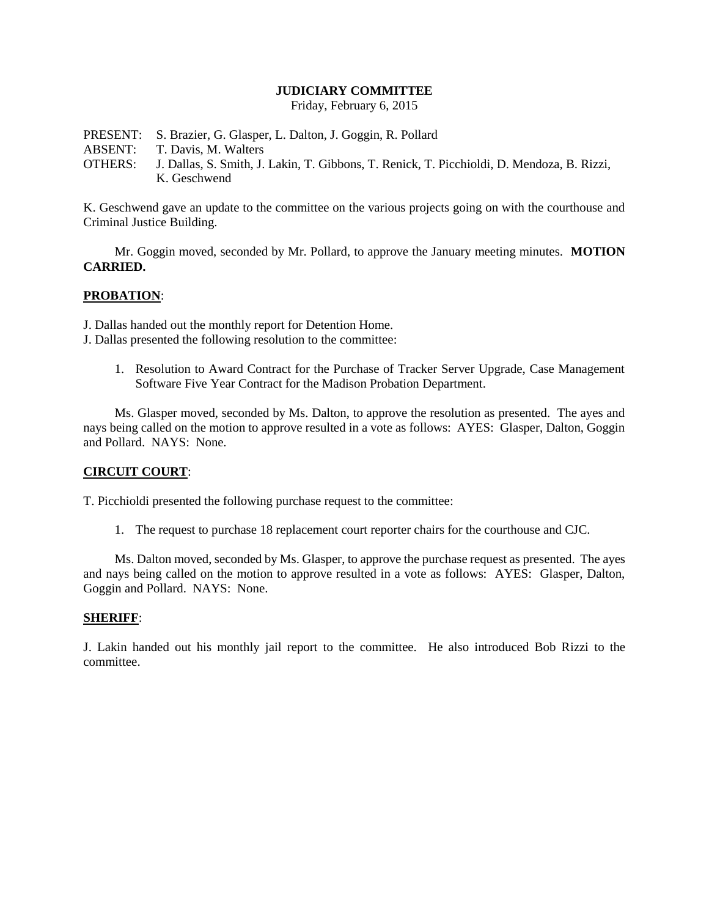#### **JUDICIARY COMMITTEE**

Friday, February 6, 2015

PRESENT: S. Brazier, G. Glasper, L. Dalton, J. Goggin, R. Pollard ABSENT: T. Davis, M. Walters OTHERS: J. Dallas, S. Smith, J. Lakin, T. Gibbons, T. Renick, T. Picchioldi, D. Mendoza, B. Rizzi, K. Geschwend

K. Geschwend gave an update to the committee on the various projects going on with the courthouse and Criminal Justice Building.

Mr. Goggin moved, seconded by Mr. Pollard, to approve the January meeting minutes. **MOTION CARRIED.**

## **PROBATION**:

J. Dallas handed out the monthly report for Detention Home.

- J. Dallas presented the following resolution to the committee:
	- 1. Resolution to Award Contract for the Purchase of Tracker Server Upgrade, Case Management Software Five Year Contract for the Madison Probation Department.

Ms. Glasper moved, seconded by Ms. Dalton, to approve the resolution as presented. The ayes and nays being called on the motion to approve resulted in a vote as follows: AYES: Glasper, Dalton, Goggin and Pollard. NAYS: None.

## **CIRCUIT COURT**:

T. Picchioldi presented the following purchase request to the committee:

1. The request to purchase 18 replacement court reporter chairs for the courthouse and CJC.

Ms. Dalton moved, seconded by Ms. Glasper, to approve the purchase request as presented. The ayes and nays being called on the motion to approve resulted in a vote as follows: AYES: Glasper, Dalton, Goggin and Pollard. NAYS: None.

#### **SHERIFF**:

J. Lakin handed out his monthly jail report to the committee. He also introduced Bob Rizzi to the committee.